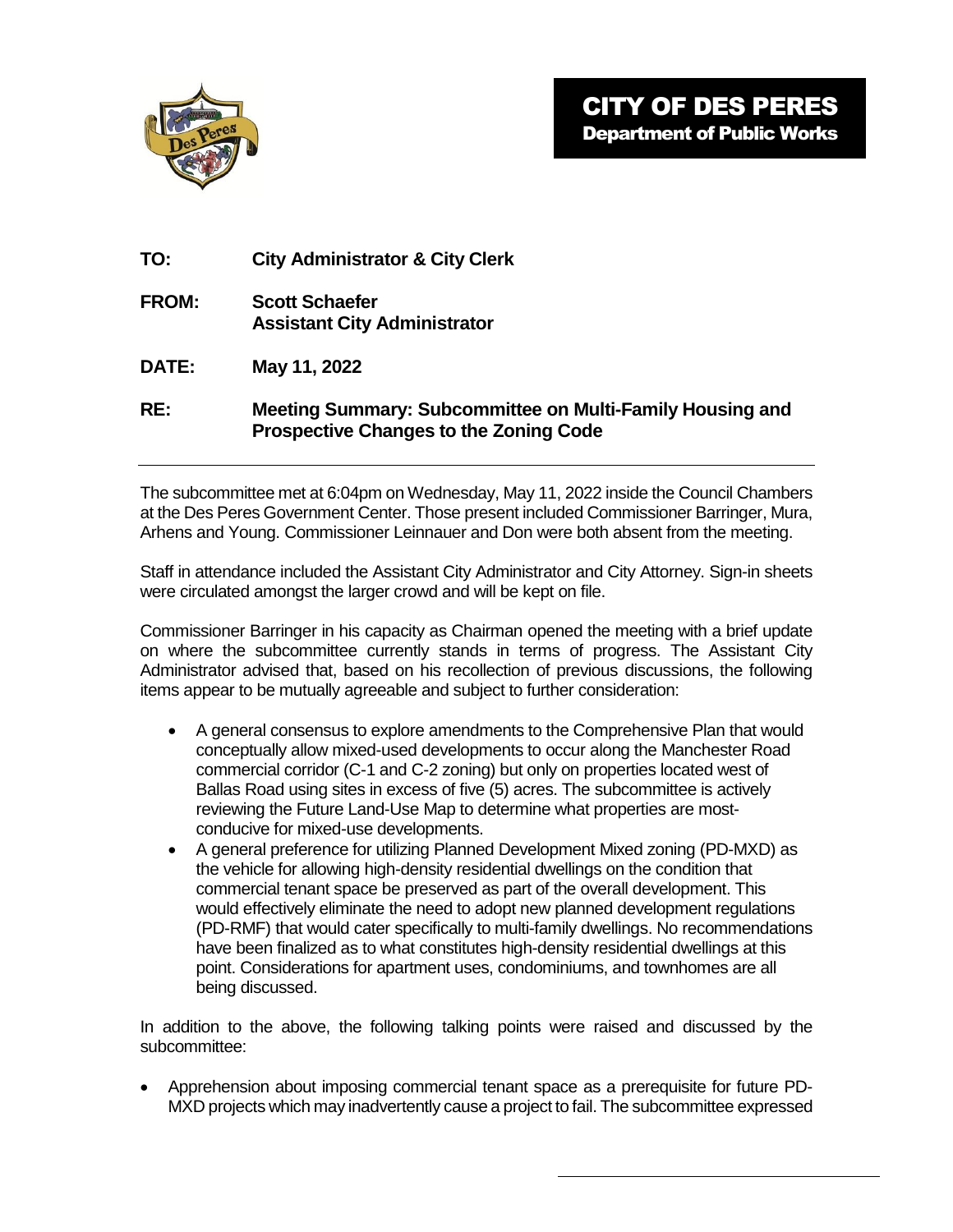

| <b>City Administrator &amp; City Clerk</b> |
|--------------------------------------------|
|                                            |

- **FROM: Scott Schaefer Assistant City Administrator**
- **DATE: May 11, 2022**
- **RE: Meeting Summary: Subcommittee on Multi-Family Housing and Prospective Changes to the Zoning Code**

The subcommittee met at 6:04pm on Wednesday, May 11, 2022 inside the Council Chambers at the Des Peres Government Center. Those present included Commissioner Barringer, Mura, Arhens and Young. Commissioner Leinnauer and Don were both absent from the meeting.

Staff in attendance included the Assistant City Administrator and City Attorney. Sign-in sheets were circulated amongst the larger crowd and will be kept on file.

Commissioner Barringer in his capacity as Chairman opened the meeting with a brief update on where the subcommittee currently stands in terms of progress. The Assistant City Administrator advised that, based on his recollection of previous discussions, the following items appear to be mutually agreeable and subject to further consideration:

- A general consensus to explore amendments to the Comprehensive Plan that would conceptually allow mixed-used developments to occur along the Manchester Road commercial corridor (C-1 and C-2 zoning) but only on properties located west of Ballas Road using sites in excess of five (5) acres. The subcommittee is actively reviewing the Future Land-Use Map to determine what properties are mostconducive for mixed-use developments.
- A general preference for utilizing Planned Development Mixed zoning (PD-MXD) as the vehicle for allowing high-density residential dwellings on the condition that commercial tenant space be preserved as part of the overall development. This would effectively eliminate the need to adopt new planned development regulations (PD-RMF) that would cater specifically to multi-family dwellings. No recommendations have been finalized as to what constitutes high-density residential dwellings at this point. Considerations for apartment uses, condominiums, and townhomes are all being discussed.

In addition to the above, the following talking points were raised and discussed by the subcommittee:

 Apprehension about imposing commercial tenant space as a prerequisite for future PD-MXD projects which may inadvertently cause a project to fail. The subcommittee expressed